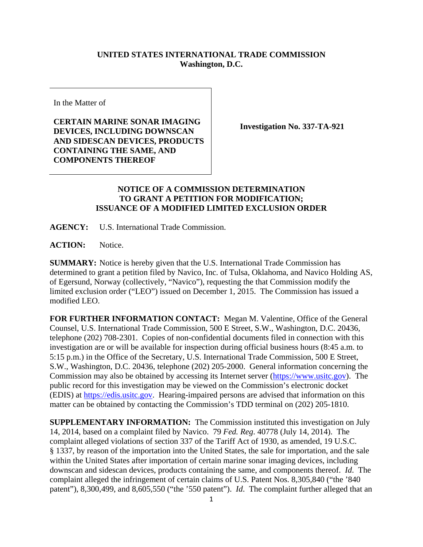## **UNITED STATES INTERNATIONAL TRADE COMMISSION Washington, D.C.**

In the Matter of

**CERTAIN MARINE SONAR IMAGING DEVICES, INCLUDING DOWNSCAN AND SIDESCAN DEVICES, PRODUCTS CONTAINING THE SAME, AND COMPONENTS THEREOF** 

**Investigation No. 337-TA-921** 

## **NOTICE OF A COMMISSION DETERMINATION TO GRANT A PETITION FOR MODIFICATION; ISSUANCE OF A MODIFIED LIMITED EXCLUSION ORDER**

**AGENCY:** U.S. International Trade Commission.

**ACTION:** Notice.

**SUMMARY:** Notice is hereby given that the U.S. International Trade Commission has determined to grant a petition filed by Navico, Inc. of Tulsa, Oklahoma, and Navico Holding AS, of Egersund, Norway (collectively, "Navico"), requesting the that Commission modify the limited exclusion order ("LEO") issued on December 1, 2015. The Commission has issued a modified LEO.

**FOR FURTHER INFORMATION CONTACT:** Megan M. Valentine, Office of the General Counsel, U.S. International Trade Commission, 500 E Street, S.W., Washington, D.C. 20436, telephone (202) 708-2301. Copies of non-confidential documents filed in connection with this investigation are or will be available for inspection during official business hours (8:45 a.m. to 5:15 p.m.) in the Office of the Secretary, U.S. International Trade Commission, 500 E Street, S.W., Washington, D.C. 20436, telephone (202) 205-2000. General information concerning the Commission may also be obtained by accessing its Internet server (https://www.usitc.gov). The public record for this investigation may be viewed on the Commission's electronic docket (EDIS) at https://edis.usitc.gov. Hearing-impaired persons are advised that information on this matter can be obtained by contacting the Commission's TDD terminal on (202) 205-1810.

**SUPPLEMENTARY INFORMATION:** The Commission instituted this investigation on July 14, 2014, based on a complaint filed by Navico. 79 *Fed. Reg*. 40778 (July 14, 2014). The complaint alleged violations of section 337 of the Tariff Act of 1930, as amended, 19 U.S.C. § 1337, by reason of the importation into the United States, the sale for importation, and the sale within the United States after importation of certain marine sonar imaging devices, including downscan and sidescan devices, products containing the same, and components thereof. *Id*. The complaint alleged the infringement of certain claims of U.S. Patent Nos. 8,305,840 ("the '840 patent"), 8,300,499, and 8,605,550 ("the '550 patent"). *Id*. The complaint further alleged that an